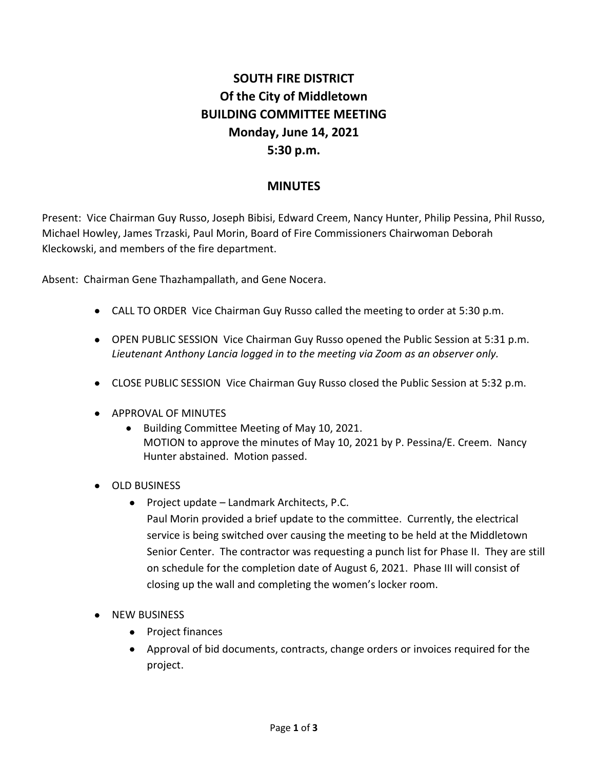# **SOUTH FIRE DISTRICT Of the City of Middletown BUILDING COMMITTEE MEETING Monday, June 14, 2021 5:30 p.m.**

## **MINUTES**

Present: Vice Chairman Guy Russo, Joseph Bibisi, Edward Creem, Nancy Hunter, Philip Pessina, Phil Russo, Michael Howley, James Trzaski, Paul Morin, Board of Fire Commissioners Chairwoman Deborah Kleckowski, and members of the fire department.

Absent: Chairman Gene Thazhampallath, and Gene Nocera.

- CALL TO ORDER Vice Chairman Guy Russo called the meeting to order at 5:30 p.m.
- OPEN PUBLIC SESSION Vice Chairman Guy Russo opened the Public Session at 5:31 p.m. *Lieutenant Anthony Lancia logged in to the meeting via Zoom as an observer only.*
- CLOSE PUBLIC SESSION Vice Chairman Guy Russo closed the Public Session at 5:32 p.m.
- **APPROVAL OF MINUTES** 
	- Building Committee Meeting of May 10, 2021. MOTION to approve the minutes of May 10, 2021 by P. Pessina/E. Creem. Nancy Hunter abstained. Motion passed.
- OLD BUSINESS
	- Project update Landmark Architects, P.C. Paul Morin provided a brief update to the committee. Currently, the electrical service is being switched over causing the meeting to be held at the Middletown Senior Center. The contractor was requesting a punch list for Phase II. They are still on schedule for the completion date of August 6, 2021. Phase III will consist of closing up the wall and completing the women's locker room.
- NEW BUSINESS
	- Project finances
	- Approval of bid documents, contracts, change orders or invoices required for the project.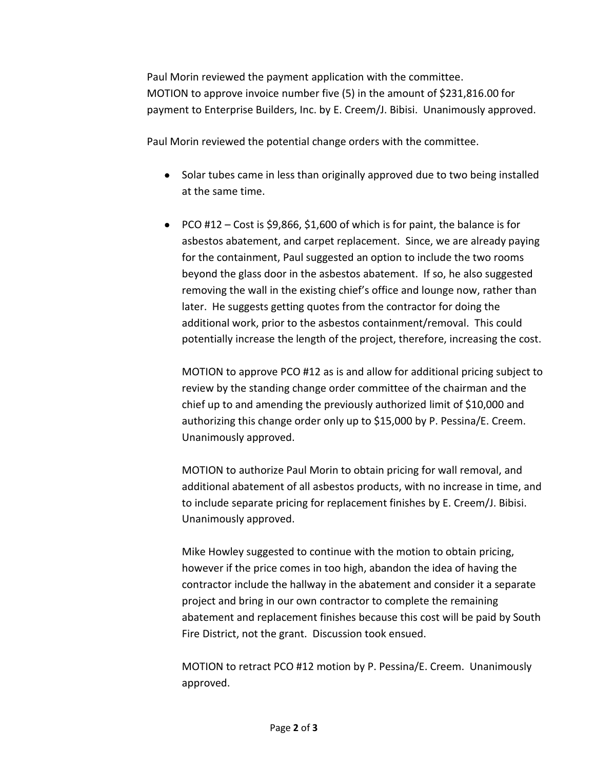Paul Morin reviewed the payment application with the committee. MOTION to approve invoice number five (5) in the amount of \$231,816.00 for payment to Enterprise Builders, Inc. by E. Creem/J. Bibisi. Unanimously approved.

Paul Morin reviewed the potential change orders with the committee.

- Solar tubes came in less than originally approved due to two being installed at the same time.
- PCO #12 Cost is \$9,866, \$1,600 of which is for paint, the balance is for asbestos abatement, and carpet replacement. Since, we are already paying for the containment, Paul suggested an option to include the two rooms beyond the glass door in the asbestos abatement. If so, he also suggested removing the wall in the existing chief's office and lounge now, rather than later. He suggests getting quotes from the contractor for doing the additional work, prior to the asbestos containment/removal. This could potentially increase the length of the project, therefore, increasing the cost.

MOTION to approve PCO #12 as is and allow for additional pricing subject to review by the standing change order committee of the chairman and the chief up to and amending the previously authorized limit of \$10,000 and authorizing this change order only up to \$15,000 by P. Pessina/E. Creem. Unanimously approved.

MOTION to authorize Paul Morin to obtain pricing for wall removal, and additional abatement of all asbestos products, with no increase in time, and to include separate pricing for replacement finishes by E. Creem/J. Bibisi. Unanimously approved.

Mike Howley suggested to continue with the motion to obtain pricing, however if the price comes in too high, abandon the idea of having the contractor include the hallway in the abatement and consider it a separate project and bring in our own contractor to complete the remaining abatement and replacement finishes because this cost will be paid by South Fire District, not the grant. Discussion took ensued.

MOTION to retract PCO #12 motion by P. Pessina/E. Creem. Unanimously approved.